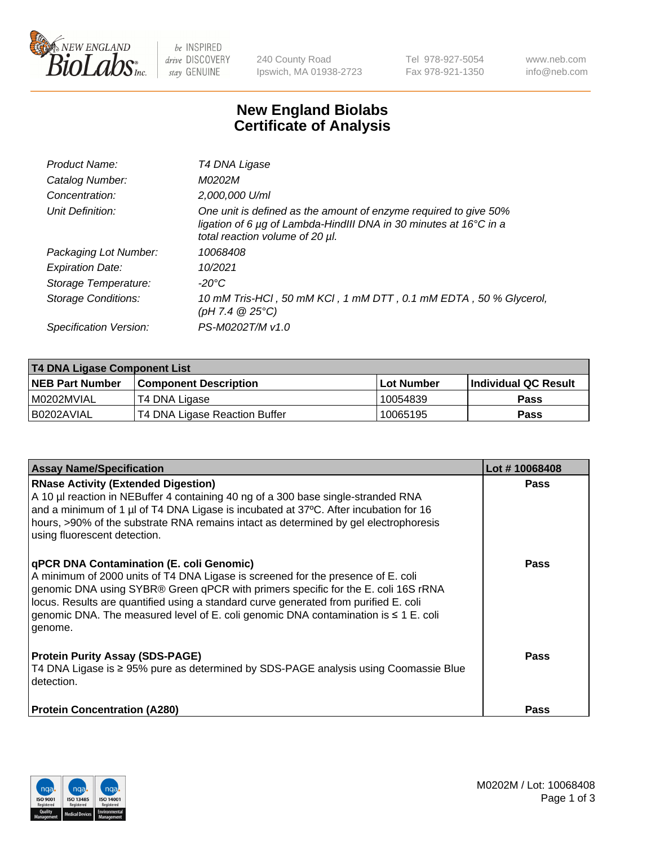

 $be$  INSPIRED drive DISCOVERY stay GENUINE

240 County Road Ipswich, MA 01938-2723 Tel 978-927-5054 Fax 978-921-1350 www.neb.com info@neb.com

## **New England Biolabs Certificate of Analysis**

| Product Name:           | T4 DNA Ligase                                                                                                                                                            |
|-------------------------|--------------------------------------------------------------------------------------------------------------------------------------------------------------------------|
| Catalog Number:         | M0202M                                                                                                                                                                   |
| Concentration:          | 2,000,000 U/ml                                                                                                                                                           |
| Unit Definition:        | One unit is defined as the amount of enzyme required to give 50%<br>ligation of 6 µg of Lambda-HindIII DNA in 30 minutes at 16°C in a<br>total reaction volume of 20 µl. |
| Packaging Lot Number:   | 10068408                                                                                                                                                                 |
| <b>Expiration Date:</b> | 10/2021                                                                                                                                                                  |
| Storage Temperature:    | $-20^{\circ}$ C                                                                                                                                                          |
| Storage Conditions:     | 10 mM Tris-HCl, 50 mM KCl, 1 mM DTT, 0.1 mM EDTA, 50 % Glycerol,<br>(pH 7.4 $@25°C$ )                                                                                    |
| Specification Version:  | PS-M0202T/M v1.0                                                                                                                                                         |

| <b>T4 DNA Ligase Component List</b> |                               |             |                       |  |
|-------------------------------------|-------------------------------|-------------|-----------------------|--|
| <b>NEB Part Number</b>              | l Component Description       | ⊺Lot Number | ∣Individual QC Result |  |
| I M0202MVIAL                        | T4 DNA Ligase                 | 10054839    | <b>Pass</b>           |  |
| B0202AVIAL                          | T4 DNA Ligase Reaction Buffer | 10065195    | <b>Pass</b>           |  |

| <b>Assay Name/Specification</b>                                                                                                                                                                                                                                                                                                                                                                                         | Lot #10068408 |
|-------------------------------------------------------------------------------------------------------------------------------------------------------------------------------------------------------------------------------------------------------------------------------------------------------------------------------------------------------------------------------------------------------------------------|---------------|
| <b>RNase Activity (Extended Digestion)</b><br>A 10 µl reaction in NEBuffer 4 containing 40 ng of a 300 base single-stranded RNA<br>and a minimum of 1 µl of T4 DNA Ligase is incubated at 37°C. After incubation for 16<br>hours, >90% of the substrate RNA remains intact as determined by gel electrophoresis<br>using fluorescent detection.                                                                         | <b>Pass</b>   |
| <b>qPCR DNA Contamination (E. coli Genomic)</b><br>A minimum of 2000 units of T4 DNA Ligase is screened for the presence of E. coli<br>genomic DNA using SYBR® Green qPCR with primers specific for the E. coli 16S rRNA<br>locus. Results are quantified using a standard curve generated from purified E. coli<br>genomic DNA. The measured level of E. coli genomic DNA contamination is $\leq 1$ E. coli<br>genome. | <b>Pass</b>   |
| <b>Protein Purity Assay (SDS-PAGE)</b><br>T4 DNA Ligase is ≥ 95% pure as determined by SDS-PAGE analysis using Coomassie Blue<br>l detection.                                                                                                                                                                                                                                                                           | Pass          |
| <b>Protein Concentration (A280)</b>                                                                                                                                                                                                                                                                                                                                                                                     | Pass          |

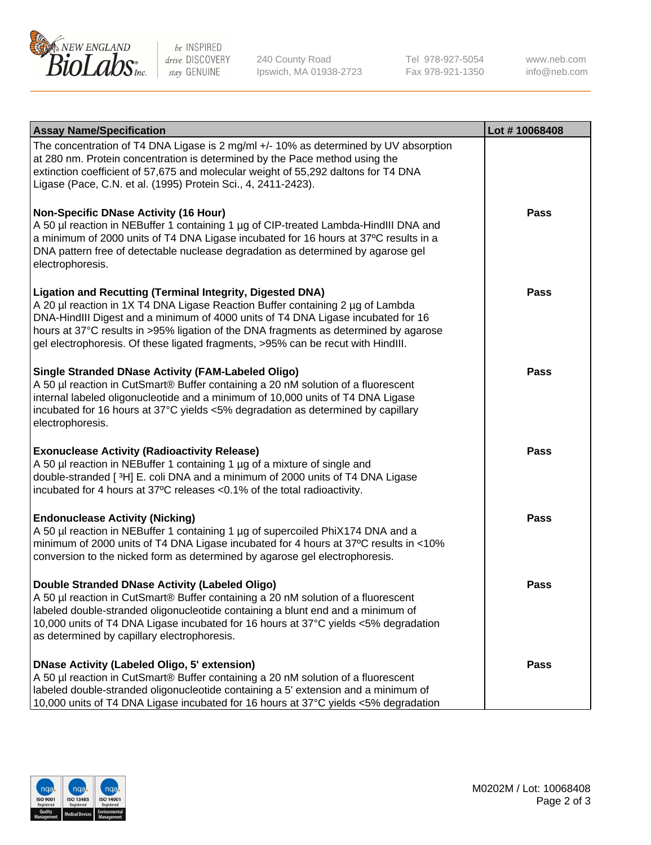

be INSPIRED drive DISCOVERY stay GENUINE

240 County Road Ipswich, MA 01938-2723 Tel 978-927-5054 Fax 978-921-1350

www.neb.com info@neb.com

| <b>Assay Name/Specification</b>                                                                                                                                                                                                                                                                                                                                                                                    | Lot #10068408 |
|--------------------------------------------------------------------------------------------------------------------------------------------------------------------------------------------------------------------------------------------------------------------------------------------------------------------------------------------------------------------------------------------------------------------|---------------|
| The concentration of T4 DNA Ligase is 2 mg/ml +/- 10% as determined by UV absorption<br>at 280 nm. Protein concentration is determined by the Pace method using the<br>extinction coefficient of 57,675 and molecular weight of 55,292 daltons for T4 DNA<br>Ligase (Pace, C.N. et al. (1995) Protein Sci., 4, 2411-2423).                                                                                         |               |
| <b>Non-Specific DNase Activity (16 Hour)</b><br>A 50 µl reaction in NEBuffer 1 containing 1 µg of CIP-treated Lambda-HindIII DNA and<br>a minimum of 2000 units of T4 DNA Ligase incubated for 16 hours at 37°C results in a<br>DNA pattern free of detectable nuclease degradation as determined by agarose gel<br>electrophoresis.                                                                               | <b>Pass</b>   |
| <b>Ligation and Recutting (Terminal Integrity, Digested DNA)</b><br>A 20 µl reaction in 1X T4 DNA Ligase Reaction Buffer containing 2 µg of Lambda<br>DNA-HindIII Digest and a minimum of 4000 units of T4 DNA Ligase incubated for 16<br>hours at 37°C results in >95% ligation of the DNA fragments as determined by agarose<br>gel electrophoresis. Of these ligated fragments, >95% can be recut with HindIII. | <b>Pass</b>   |
| <b>Single Stranded DNase Activity (FAM-Labeled Oligo)</b><br>A 50 µl reaction in CutSmart® Buffer containing a 20 nM solution of a fluorescent<br>internal labeled oligonucleotide and a minimum of 10,000 units of T4 DNA Ligase<br>incubated for 16 hours at 37°C yields <5% degradation as determined by capillary<br>electrophoresis.                                                                          | <b>Pass</b>   |
| <b>Exonuclease Activity (Radioactivity Release)</b><br>A 50 µl reaction in NEBuffer 1 containing 1 µg of a mixture of single and<br>double-stranded [3H] E. coli DNA and a minimum of 2000 units of T4 DNA Ligase<br>incubated for 4 hours at 37°C releases <0.1% of the total radioactivity.                                                                                                                      | <b>Pass</b>   |
| <b>Endonuclease Activity (Nicking)</b><br>A 50 µl reaction in NEBuffer 1 containing 1 µg of supercoiled PhiX174 DNA and a<br>minimum of 2000 units of T4 DNA Ligase incubated for 4 hours at 37°C results in <10%<br>conversion to the nicked form as determined by agarose gel electrophoresis.                                                                                                                   | <b>Pass</b>   |
| Double Stranded DNase Activity (Labeled Oligo)<br>A 50 µl reaction in CutSmart® Buffer containing a 20 nM solution of a fluorescent<br>labeled double-stranded oligonucleotide containing a blunt end and a minimum of<br>10,000 units of T4 DNA Ligase incubated for 16 hours at 37°C yields <5% degradation<br>as determined by capillary electrophoresis.                                                       | <b>Pass</b>   |
| <b>DNase Activity (Labeled Oligo, 5' extension)</b><br>A 50 µl reaction in CutSmart® Buffer containing a 20 nM solution of a fluorescent<br>labeled double-stranded oligonucleotide containing a 5' extension and a minimum of<br>10,000 units of T4 DNA Ligase incubated for 16 hours at 37°C yields <5% degradation                                                                                              | <b>Pass</b>   |